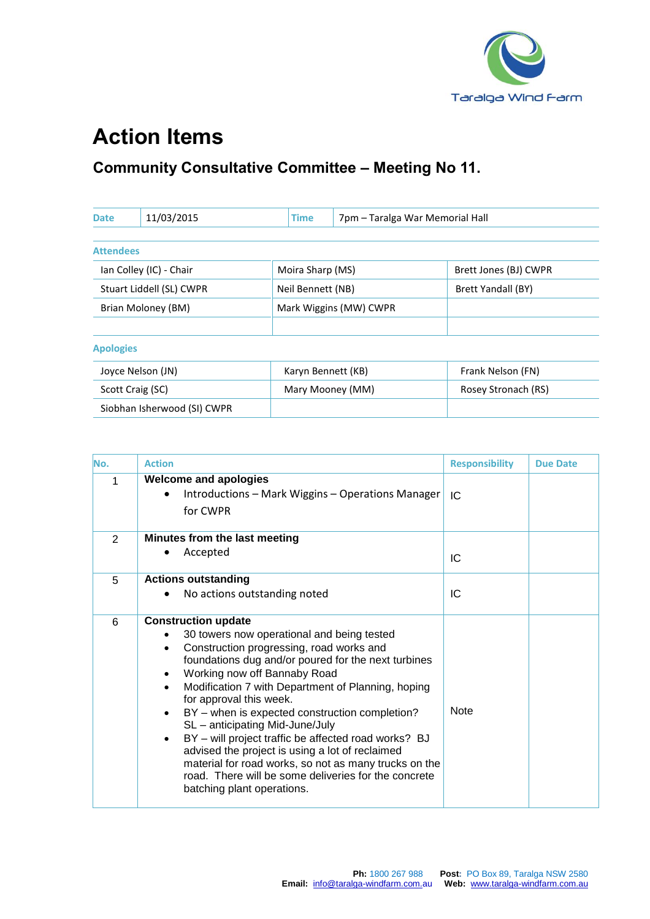

## **Action Items**

## **Community Consultative Committee – Meeting No 11.**

| <b>Date</b>              | 11/03/2015                  | <b>Time</b>        | 7pm - Taralga War Memorial Hall |                       |
|--------------------------|-----------------------------|--------------------|---------------------------------|-----------------------|
|                          |                             |                    |                                 |                       |
| <b>Attendees</b>         |                             |                    |                                 |                       |
| Ian Colley (IC) - Chair  |                             | Moira Sharp (MS)   |                                 | Brett Jones (BJ) CWPR |
| Stuart Liddell (SL) CWPR |                             | Neil Bennett (NB)  |                                 | Brett Yandall (BY)    |
| Brian Moloney (BM)       |                             |                    | Mark Wiggins (MW) CWPR          |                       |
|                          |                             |                    |                                 |                       |
| <b>Apologies</b>         |                             |                    |                                 |                       |
|                          | Joyce Nelson (JN)           | Karyn Bennett (KB) |                                 | Frank Nelson (FN)     |
| Scott Craig (SC)         |                             |                    | Mary Mooney (MM)                | Rosey Stronach (RS)   |
|                          | Siobhan Isherwood (SI) CWPR |                    |                                 |                       |

| No. | <b>Action</b>                                                                                                                                                                                                                                                                                                                                                                                                                                                                                                                                                                                                                               | <b>Responsibility</b> | <b>Due Date</b> |
|-----|---------------------------------------------------------------------------------------------------------------------------------------------------------------------------------------------------------------------------------------------------------------------------------------------------------------------------------------------------------------------------------------------------------------------------------------------------------------------------------------------------------------------------------------------------------------------------------------------------------------------------------------------|-----------------------|-----------------|
| 1   | <b>Welcome and apologies</b><br>Introductions - Mark Wiggins - Operations Manager<br>for CWPR                                                                                                                                                                                                                                                                                                                                                                                                                                                                                                                                               | IC.                   |                 |
| 2   | Minutes from the last meeting<br>Accepted                                                                                                                                                                                                                                                                                                                                                                                                                                                                                                                                                                                                   | IC                    |                 |
| 5   | <b>Actions outstanding</b><br>No actions outstanding noted                                                                                                                                                                                                                                                                                                                                                                                                                                                                                                                                                                                  | IC                    |                 |
| 6   | <b>Construction update</b><br>30 towers now operational and being tested<br>Construction progressing, road works and<br>foundations dug and/or poured for the next turbines<br>Working now off Bannaby Road<br>Modification 7 with Department of Planning, hoping<br>for approval this week.<br>BY - when is expected construction completion?<br>SL - anticipating Mid-June/July<br>BY - will project traffic be affected road works? BJ<br>advised the project is using a lot of reclaimed<br>material for road works, so not as many trucks on the<br>road. There will be some deliveries for the concrete<br>batching plant operations. | <b>Note</b>           |                 |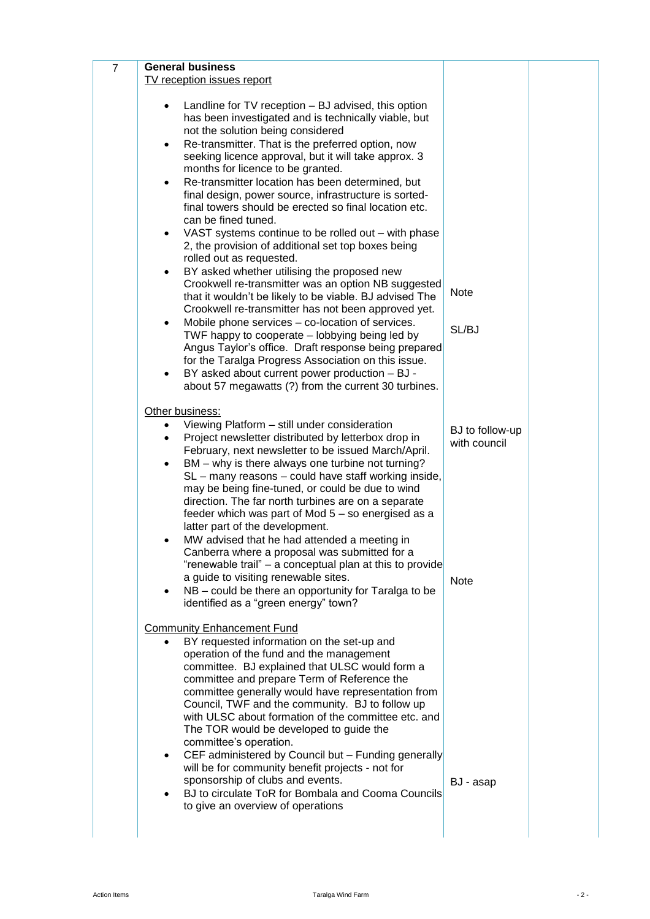| $\overline{7}$ | <b>General business</b>                                                                                                                                                                                                                                                                                                                                                                                                                                                                                                                                                                                                                                                                                                                                                                                                                                                                                                                                                                                                                                                                                                                                                           |                                                |  |
|----------------|-----------------------------------------------------------------------------------------------------------------------------------------------------------------------------------------------------------------------------------------------------------------------------------------------------------------------------------------------------------------------------------------------------------------------------------------------------------------------------------------------------------------------------------------------------------------------------------------------------------------------------------------------------------------------------------------------------------------------------------------------------------------------------------------------------------------------------------------------------------------------------------------------------------------------------------------------------------------------------------------------------------------------------------------------------------------------------------------------------------------------------------------------------------------------------------|------------------------------------------------|--|
|                | TV reception issues report<br>Landline for TV reception - BJ advised, this option<br>٠<br>has been investigated and is technically viable, but<br>not the solution being considered<br>Re-transmitter. That is the preferred option, now<br>$\bullet$<br>seeking licence approval, but it will take approx. 3<br>months for licence to be granted.<br>Re-transmitter location has been determined, but<br>$\bullet$<br>final design, power source, infrastructure is sorted-<br>final towers should be erected so final location etc.<br>can be fined tuned.<br>VAST systems continue to be rolled out - with phase<br>٠<br>2, the provision of additional set top boxes being<br>rolled out as requested.<br>BY asked whether utilising the proposed new<br>$\bullet$<br>Crookwell re-transmitter was an option NB suggested<br>that it wouldn't be likely to be viable. BJ advised The<br>Crookwell re-transmitter has not been approved yet.<br>Mobile phone services - co-location of services.<br>$\bullet$<br>TWF happy to cooperate - lobbying being led by<br>Angus Taylor's office. Draft response being prepared<br>for the Taralga Progress Association on this issue. | <b>Note</b><br>SL/BJ                           |  |
|                | BY asked about current power production - BJ -<br>$\bullet$<br>about 57 megawatts (?) from the current 30 turbines.                                                                                                                                                                                                                                                                                                                                                                                                                                                                                                                                                                                                                                                                                                                                                                                                                                                                                                                                                                                                                                                               |                                                |  |
|                | Other business:<br>Viewing Platform - still under consideration<br>$\bullet$<br>Project newsletter distributed by letterbox drop in<br>$\bullet$<br>February, next newsletter to be issued March/April.<br>BM – why is there always one turbine not turning?<br>٠<br>SL – many reasons – could have staff working inside,<br>may be being fine-tuned, or could be due to wind<br>direction. The far north turbines are on a separate<br>feeder which was part of Mod 5 – so energised as a<br>latter part of the development.<br>MW advised that he had attended a meeting in<br>Canberra where a proposal was submitted for a<br>"renewable trail" – a conceptual plan at this to provide<br>a guide to visiting renewable sites.<br>NB – could be there an opportunity for Taralga to be<br>identified as a "green energy" town?                                                                                                                                                                                                                                                                                                                                                | BJ to follow-up<br>with council<br><b>Note</b> |  |
|                | <b>Community Enhancement Fund</b><br>BY requested information on the set-up and<br>operation of the fund and the management<br>committee. BJ explained that ULSC would form a<br>committee and prepare Term of Reference the<br>committee generally would have representation from<br>Council, TWF and the community. BJ to follow up<br>with ULSC about formation of the committee etc. and<br>The TOR would be developed to guide the<br>committee's operation.<br>CEF administered by Council but - Funding generally<br>$\bullet$<br>will be for community benefit projects - not for<br>sponsorship of clubs and events.<br>BJ to circulate ToR for Bombala and Cooma Councils<br>to give an overview of operations                                                                                                                                                                                                                                                                                                                                                                                                                                                          | BJ - asap                                      |  |